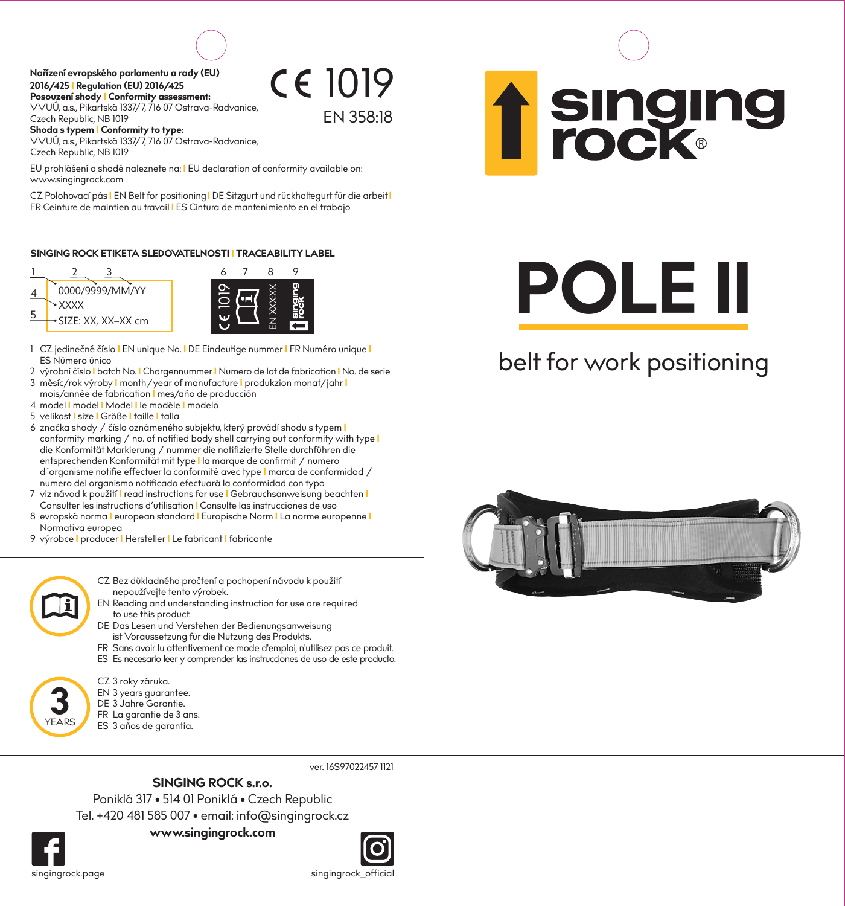**Posouzení shody I Conformity assessment: Nařízení evropského parlamentu a rady (EU) 2016/425 I Regulation (EU) 2016/425**

Czech Republic, NB 1019 VVUÚ, a.s., Pikartská 1337/7, 716 07 Ostrava-Radvanice,

**Shoda s typem I Conformity to type:** VVUÚ, a.s., Pikartská 1337/7, 716 07 Ostrava-Radvanice, Czech Republic, NB 1019

EU prohlášení o shodě naleznete na: **I** EU declaration of conformity available on: www.singingrock.com

CZ Polohovací pás **I** EN Belt for positioning**I** DE Sitzgurt und rückhaltegurt für die arbeit**I** FR Ceinture de maintien au travail **I** ES Cintura de mantenimiento en el trabajo

1019

EN 358:18

**SINGING ROCK ETIKETA SLEDOVATELNOSTI I TRACEABILITY LABEL**



- 1 CZ jedinečné číslo **I** EN unique No. **I** DE Eindeutige nummer **I** FR Numéro unique **I** ES Número único
- 3 měsíc/rok výroby **I** month/year of manufacture **I** produkzion monat/jahr **I**  2 výrobní číslo **I** batch No. **I** Chargennummer **I** Numero de lot de fabrication **I** No. de serie
- mois/année de fabrication **I** mes/ańo de producción
- 4 model **I** model **I** Model **I** le modéle **I** modelo
- 5 velikost **I** size **I** Größe **I** taille **I** talla
- 6 značka shody / číslo oznámeného subjektu, který provádí shodu s typem **I** conformity marking / no. of notified body shell carrying out conformity with type **I** die Konformität Markierung / nummer die notifizierte Stelle durchführen die entsprechenden Konformität mit type **I** la marque de confirmit / numero d´organisme notifie effectuer la conformité avec type **I** marca de conformidad / numero del organismo notificado efectuará la conformidad con typo
- 7 viz návod k použití **I** read instructions for use **I** Gebrauchsanweisung beachten **I** Consulter les instructions d'utilisation **I** Consulte las instrucciones de uso
- 8 evropská norma **I** european standard **I** Europische Norm **I** La norme europenne **I** Normativa europea
- 9 výrobce **I** producer **I** Hersteller **I** Le fabricant **I** fabricante
	- CZ Bez důkladného pročtení a pochopení návodu k použití nepoužívejte tento výrobek.
	- EN Reading and understanding instruction for use are required to use this product.
	- DE Das Lesen und Verstehen der Bedienungsanweisung ist Voraussetzung für die Nutzung des Produkts.
	- FR Sans avoir lu attentivement ce mode d'emploi, n'utilisez pas ce produit. ES Es necesario leer y comprender las instrucciones de uso de este producto.

CZ 3 roky záruka.

- EN 3 years guarantee.
- DE 3 Jahre Garantie.
- FR La garantie de 3 ans.
- ES 3 años de garantia.

ver. 16S97022457 1121

## **SINGING ROCK s.r.o.**

Poniklá 317 • 514 01 Poniklá • Czech Republic **www.singingrock.com** Tel. +420 481 585 007 • email: info@singingrock.cz

**3**YEARS



**Singing<br>rock** 

## **POLE II**

## belt for work positioning



singingrock.page singingrock\_official